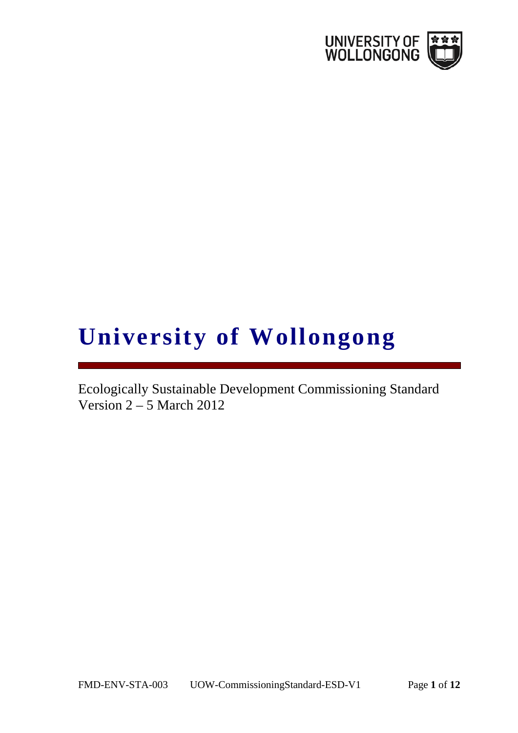

## **University of Wollongong**

Ecologically Sustainable Development Commissioning Standard Version 2 – 5 March 2012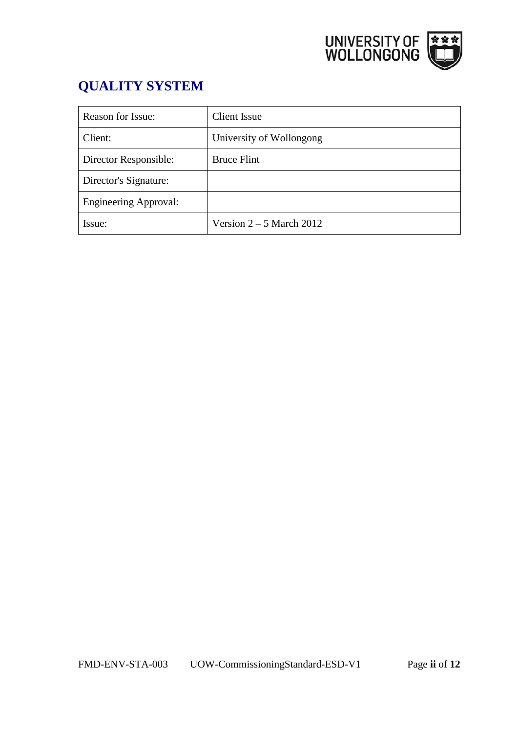

## **QUALITY SYSTEM**

| <b>Reason for Issue:</b>     | Client Issue               |
|------------------------------|----------------------------|
| Client:                      | University of Wollongong   |
| Director Responsible:        | <b>Bruce Flint</b>         |
| Director's Signature:        |                            |
| <b>Engineering Approval:</b> |                            |
| Issue:                       | Version $2 - 5$ March 2012 |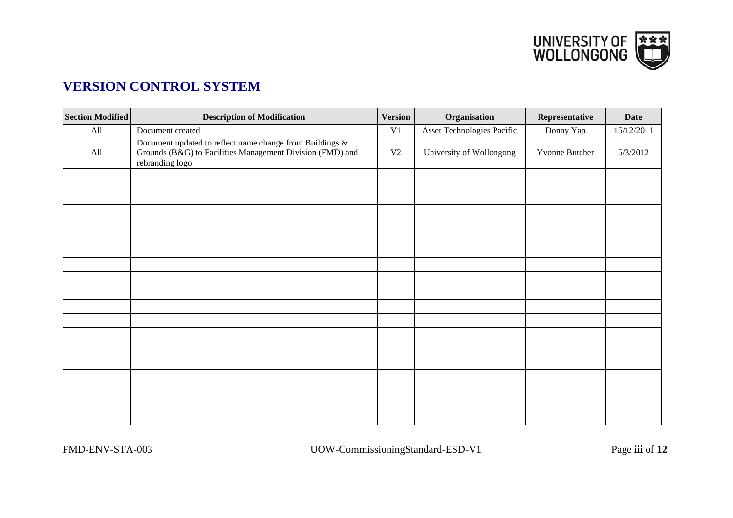

## **VERSION CONTROL SYSTEM**

| <b>Section Modified</b> | <b>Description of Modification</b>                                                                                                       | <b>Version</b> | Organisation               | Representative | <b>Date</b> |
|-------------------------|------------------------------------------------------------------------------------------------------------------------------------------|----------------|----------------------------|----------------|-------------|
| All                     | Document created                                                                                                                         | V <sub>1</sub> | Asset Technologies Pacific | Donny Yap      | 15/12/2011  |
| All                     | Document updated to reflect name change from Buildings &<br>Grounds (B&G) to Facilities Management Division (FMD) and<br>rebranding logo | V <sub>2</sub> | University of Wollongong   | Yvonne Butcher | 5/3/2012    |
|                         |                                                                                                                                          |                |                            |                |             |
|                         |                                                                                                                                          |                |                            |                |             |
|                         |                                                                                                                                          |                |                            |                |             |
|                         |                                                                                                                                          |                |                            |                |             |
|                         |                                                                                                                                          |                |                            |                |             |
|                         |                                                                                                                                          |                |                            |                |             |
|                         |                                                                                                                                          |                |                            |                |             |
|                         |                                                                                                                                          |                |                            |                |             |
|                         |                                                                                                                                          |                |                            |                |             |
|                         |                                                                                                                                          |                |                            |                |             |
|                         |                                                                                                                                          |                |                            |                |             |
|                         |                                                                                                                                          |                |                            |                |             |
|                         |                                                                                                                                          |                |                            |                |             |
|                         |                                                                                                                                          |                |                            |                |             |
|                         |                                                                                                                                          |                |                            |                |             |
|                         |                                                                                                                                          |                |                            |                |             |
|                         |                                                                                                                                          |                |                            |                |             |
|                         |                                                                                                                                          |                |                            |                |             |
|                         |                                                                                                                                          |                |                            |                |             |

FMD-ENV-STA-003 UOW-CommissioningStandard-ESD-V1 Page **iii** of **12**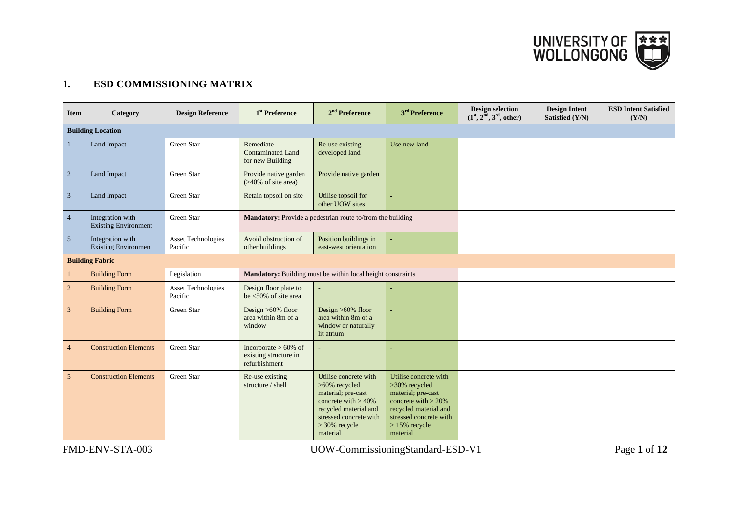UNIVERSITY OF

## **1. ESD COMMISSIONING MATRIX**

| <b>Item</b>    | Category                                        | <b>Design Reference</b>              | 1 <sup>st</sup> Preference                                        | $2nd$ Preference                                                                                                                                                         | 3 <sup>rd</sup> Preference                                                                                                                                              | <b>Design selection</b><br>$(1st, 2nd, 3rd, other)$ | <b>Design Intent</b><br>Satisfied (Y/N) | <b>ESD Intent Satisfied</b><br>(Y/N) |  |
|----------------|-------------------------------------------------|--------------------------------------|-------------------------------------------------------------------|--------------------------------------------------------------------------------------------------------------------------------------------------------------------------|-------------------------------------------------------------------------------------------------------------------------------------------------------------------------|-----------------------------------------------------|-----------------------------------------|--------------------------------------|--|
|                | <b>Building Location</b>                        |                                      |                                                                   |                                                                                                                                                                          |                                                                                                                                                                         |                                                     |                                         |                                      |  |
| 1              | Land Impact                                     | Green Star                           | Remediate<br><b>Contaminated Land</b><br>for new Building         | Re-use existing<br>developed land                                                                                                                                        | Use new land                                                                                                                                                            |                                                     |                                         |                                      |  |
| $\sqrt{2}$     | Land Impact                                     | Green Star                           | Provide native garden<br>$($ >40% of site area)                   | Provide native garden                                                                                                                                                    |                                                                                                                                                                         |                                                     |                                         |                                      |  |
| $\sqrt{3}$     | Land Impact                                     | Green Star                           | Retain topsoil on site                                            | Utilise topsoil for<br>other UOW sites                                                                                                                                   |                                                                                                                                                                         |                                                     |                                         |                                      |  |
| $\overline{4}$ | Integration with<br><b>Existing Environment</b> | Green Star                           |                                                                   | <b>Mandatory:</b> Provide a pedestrian route to/from the building                                                                                                        |                                                                                                                                                                         |                                                     |                                         |                                      |  |
| 5 <sup>5</sup> | Integration with<br><b>Existing Environment</b> | Asset Technologies<br>Pacific        | Avoid obstruction of<br>other buildings                           | Position buildings in<br>east-west orientation                                                                                                                           | ä,                                                                                                                                                                      |                                                     |                                         |                                      |  |
|                | <b>Building Fabric</b>                          |                                      |                                                                   |                                                                                                                                                                          |                                                                                                                                                                         |                                                     |                                         |                                      |  |
|                | <b>Building Form</b>                            | Legislation                          |                                                                   | Mandatory: Building must be within local height constraints                                                                                                              |                                                                                                                                                                         |                                                     |                                         |                                      |  |
| $\overline{c}$ | <b>Building Form</b>                            | <b>Asset Technologies</b><br>Pacific | Design floor plate to<br>be $\leq 50\%$ of site area              |                                                                                                                                                                          |                                                                                                                                                                         |                                                     |                                         |                                      |  |
| $\mathfrak{Z}$ | <b>Building Form</b>                            | Green Star                           | Design $>60\%$ floor<br>area within 8m of a<br>window             | Design $>60\%$ floor<br>area within 8m of a<br>window or naturally<br>lit atrium                                                                                         |                                                                                                                                                                         |                                                     |                                         |                                      |  |
| $\overline{4}$ | <b>Construction Elements</b>                    | Green Star                           | Incorporate $> 60\%$ of<br>existing structure in<br>refurbishment |                                                                                                                                                                          |                                                                                                                                                                         |                                                     |                                         |                                      |  |
| 5              | <b>Construction Elements</b>                    | Green Star                           | Re-use existing<br>structure / shell                              | Utilise concrete with<br>>60% recycled<br>material; pre-cast<br>concrete with $> 40\%$<br>recycled material and<br>stressed concrete with<br>$>$ 30% recycle<br>material | Utilise concrete with<br>>30% recycled<br>material; pre-cast<br>concrete with $>$ 20%<br>recycled material and<br>stressed concrete with<br>$>15\%$ recycle<br>material |                                                     |                                         |                                      |  |

FMD-ENV-STA-003 UOW-CommissioningStandard-ESD-V1 Page **1** of **12**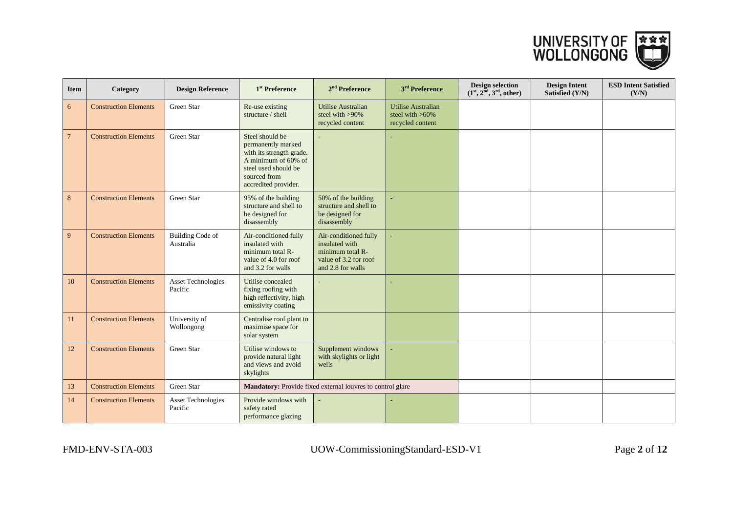

| <b>Item</b>     | Category                     | <b>Design Reference</b>              | 1 <sup>st</sup> Preference                                                                                                                               | $2nd$ Preference                                                                                          | $3rd$ Preference                                                    | <b>Design selection</b><br>$(1st, 2nd, 3rd, other)$ | <b>Design Intent</b><br>Satisfied (Y/N) | <b>ESD Intent Satisfied</b><br>(Y/N) |
|-----------------|------------------------------|--------------------------------------|----------------------------------------------------------------------------------------------------------------------------------------------------------|-----------------------------------------------------------------------------------------------------------|---------------------------------------------------------------------|-----------------------------------------------------|-----------------------------------------|--------------------------------------|
| 6               | <b>Construction Elements</b> | Green Star                           | Re-use existing<br>structure / shell                                                                                                                     | <b>Utilise Australian</b><br>steel with $>90\%$<br>recycled content                                       | <b>Utilise Australian</b><br>steel with $>60\%$<br>recycled content |                                                     |                                         |                                      |
| $7\phantom{.0}$ | <b>Construction Elements</b> | Green Star                           | Steel should be<br>permanently marked<br>with its strength grade.<br>A minimum of 60% of<br>steel used should be<br>sourced from<br>accredited provider. |                                                                                                           |                                                                     |                                                     |                                         |                                      |
| 8               | <b>Construction Elements</b> | Green Star                           | 95% of the building<br>structure and shell to<br>be designed for<br>disassembly                                                                          | 50% of the building<br>structure and shell to<br>be designed for<br>disassembly                           |                                                                     |                                                     |                                         |                                      |
| 9               | <b>Construction Elements</b> | <b>Building Code of</b><br>Australia | Air-conditioned fully<br>insulated with<br>minimum total R-<br>value of 4.0 for roof<br>and 3.2 for walls                                                | Air-conditioned fully<br>insulated with<br>minimum total R-<br>value of 3.2 for roof<br>and 2.8 for walls |                                                                     |                                                     |                                         |                                      |
| 10              | <b>Construction Elements</b> | <b>Asset Technologies</b><br>Pacific | Utilise concealed<br>fixing roofing with<br>high reflectivity, high<br>emissivity coating                                                                |                                                                                                           |                                                                     |                                                     |                                         |                                      |
| 11              | <b>Construction Elements</b> | University of<br>Wollongong          | Centralise roof plant to<br>maximise space for<br>solar system                                                                                           |                                                                                                           |                                                                     |                                                     |                                         |                                      |
| 12              | <b>Construction Elements</b> | Green Star                           | Utilise windows to<br>provide natural light<br>and views and avoid<br>skylights                                                                          | Supplement windows<br>with skylights or light<br>wells                                                    |                                                                     |                                                     |                                         |                                      |
| 13              | <b>Construction Elements</b> | Green Star                           |                                                                                                                                                          | Mandatory: Provide fixed external louvres to control glare                                                |                                                                     |                                                     |                                         |                                      |
| 14              | <b>Construction Elements</b> | <b>Asset Technologies</b><br>Pacific | Provide windows with<br>safety rated<br>performance glazing                                                                                              |                                                                                                           |                                                                     |                                                     |                                         |                                      |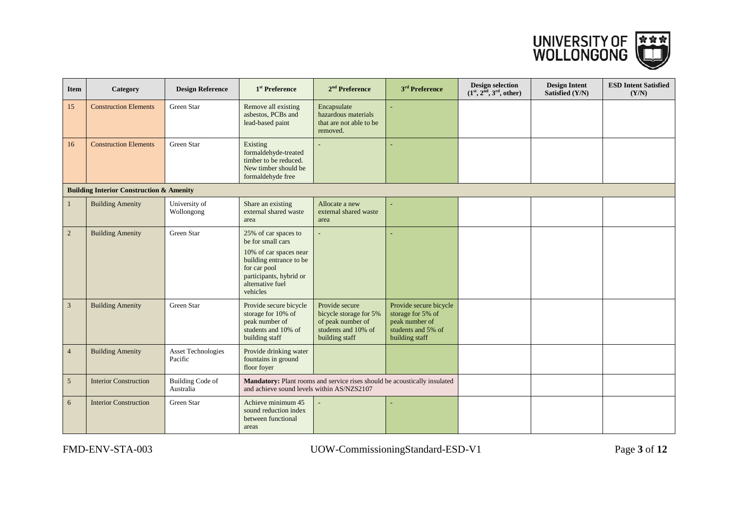

| <b>Item</b>    | Category                                            | <b>Design Reference</b>              | 1 <sup>st</sup> Preference                                                                                                                                                | $2nd$ Preference                                                                                                        | 3 <sup>rd</sup> Preference                                                                            | <b>Design selection</b><br>$(1^{st}, 2^{\text{nd}}, 3^{\text{rd}}, \text{other})$ | <b>Design Intent</b><br>Satisfied (Y/N) | <b>ESD Intent Satisfied</b><br>(Y/N) |
|----------------|-----------------------------------------------------|--------------------------------------|---------------------------------------------------------------------------------------------------------------------------------------------------------------------------|-------------------------------------------------------------------------------------------------------------------------|-------------------------------------------------------------------------------------------------------|-----------------------------------------------------------------------------------|-----------------------------------------|--------------------------------------|
| 15             | <b>Construction Elements</b>                        | Green Star                           | Remove all existing<br>asbestos, PCBs and<br>lead-based paint                                                                                                             | Encapsulate<br>hazardous materials<br>that are not able to be<br>removed.                                               |                                                                                                       |                                                                                   |                                         |                                      |
| 16             | <b>Construction Elements</b>                        | Green Star                           | Existing<br>formaldehyde-treated<br>timber to be reduced.<br>New timber should be<br>formaldehyde free                                                                    |                                                                                                                         |                                                                                                       |                                                                                   |                                         |                                      |
|                | <b>Building Interior Construction &amp; Amenity</b> |                                      |                                                                                                                                                                           |                                                                                                                         |                                                                                                       |                                                                                   |                                         |                                      |
| $\mathbf{1}$   | <b>Building Amenity</b>                             | University of<br>Wollongong          | Share an existing<br>external shared waste<br>area                                                                                                                        | Allocate a new<br>external shared waste<br>area                                                                         |                                                                                                       |                                                                                   |                                         |                                      |
| $\sqrt{2}$     | <b>Building Amenity</b>                             | Green Star                           | 25% of car spaces to<br>be for small cars<br>10% of car spaces near<br>building entrance to be<br>for car pool<br>participants, hybrid or<br>alternative fuel<br>vehicles |                                                                                                                         |                                                                                                       |                                                                                   |                                         |                                      |
| $\mathfrak{Z}$ | <b>Building Amenity</b>                             | Green Star                           | Provide secure bicycle<br>storage for 10% of<br>peak number of<br>students and 10% of<br>building staff                                                                   | Provide secure<br>bicycle storage for 5%<br>of peak number of<br>students and 10% of<br>building staff                  | Provide secure bicycle<br>storage for 5% of<br>peak number of<br>students and 5% of<br>building staff |                                                                                   |                                         |                                      |
| $\overline{4}$ | <b>Building Amenity</b>                             | Asset Technologies<br>Pacific        | Provide drinking water<br>fountains in ground<br>floor foyer                                                                                                              |                                                                                                                         |                                                                                                       |                                                                                   |                                         |                                      |
| $\overline{5}$ | <b>Interior Construction</b>                        | <b>Building Code of</b><br>Australia |                                                                                                                                                                           | Mandatory: Plant rooms and service rises should be acoustically insulated<br>and achieve sound levels within AS/NZS2107 |                                                                                                       |                                                                                   |                                         |                                      |
| 6              | <b>Interior Construction</b>                        | Green Star                           | Achieve minimum 45<br>sound reduction index<br>between functional<br>areas                                                                                                |                                                                                                                         |                                                                                                       |                                                                                   |                                         |                                      |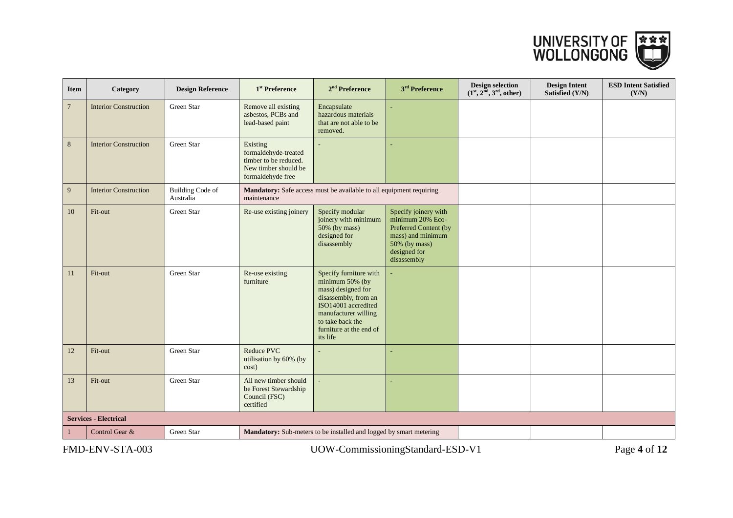

| <b>Item</b>    | Category                     | <b>Design Reference</b>              | 1 <sup>st</sup> Preference                                                                             | $2nd$ Preference                                                                                                                                                                                  | 3 <sup>rd</sup> Preference                                                                                                             | <b>Design selection</b><br>$(1st, 2nd, 3rd, other)$ | <b>Design Intent</b><br>Satisfied (Y/N) | <b>ESD Intent Satisfied</b><br>(Y/N) |
|----------------|------------------------------|--------------------------------------|--------------------------------------------------------------------------------------------------------|---------------------------------------------------------------------------------------------------------------------------------------------------------------------------------------------------|----------------------------------------------------------------------------------------------------------------------------------------|-----------------------------------------------------|-----------------------------------------|--------------------------------------|
| $\overline{7}$ | <b>Interior Construction</b> | Green Star                           | Remove all existing<br>asbestos, PCBs and<br>lead-based paint                                          | Encapsulate<br>hazardous materials<br>that are not able to be<br>removed.                                                                                                                         |                                                                                                                                        |                                                     |                                         |                                      |
| 8              | <b>Interior Construction</b> | Green Star                           | Existing<br>formaldehyde-treated<br>timber to be reduced.<br>New timber should be<br>formaldehyde free |                                                                                                                                                                                                   |                                                                                                                                        |                                                     |                                         |                                      |
| 9              | <b>Interior Construction</b> | <b>Building Code of</b><br>Australia | maintenance                                                                                            | <b>Mandatory:</b> Safe access must be available to all equipment requiring                                                                                                                        |                                                                                                                                        |                                                     |                                         |                                      |
| 10             | Fit-out                      | Green Star                           | Re-use existing joinery                                                                                | Specify modular<br>joinery with minimum<br>50% (by mass)<br>designed for<br>disassembly                                                                                                           | Specify joinery with<br>minimum 20% Eco-<br>Preferred Content (by<br>mass) and minimum<br>50% (by mass)<br>designed for<br>disassembly |                                                     |                                         |                                      |
| 11             | Fit-out                      | Green Star                           | Re-use existing<br>furniture                                                                           | Specify furniture with<br>minimum 50% (by<br>mass) designed for<br>disassembly, from an<br>ISO14001 accredited<br>manufacturer willing<br>to take back the<br>furniture at the end of<br>its life |                                                                                                                                        |                                                     |                                         |                                      |
| 12             | Fit-out                      | Green Star                           | <b>Reduce PVC</b><br>utilisation by 60% (by<br>cost)                                                   |                                                                                                                                                                                                   |                                                                                                                                        |                                                     |                                         |                                      |
| 13             | Fit-out                      | Green Star                           | All new timber should<br>be Forest Stewardship<br>Council (FSC)<br>certified                           |                                                                                                                                                                                                   |                                                                                                                                        |                                                     |                                         |                                      |
|                | <b>Services - Electrical</b> |                                      |                                                                                                        |                                                                                                                                                                                                   |                                                                                                                                        |                                                     |                                         |                                      |
|                | Control Gear &               | Green Star                           |                                                                                                        | Mandatory: Sub-meters to be installed and logged by smart metering                                                                                                                                |                                                                                                                                        |                                                     |                                         |                                      |
|                |                              |                                      |                                                                                                        |                                                                                                                                                                                                   |                                                                                                                                        |                                                     |                                         |                                      |

FMD-ENV-STA-003 UOW-CommissioningStandard-ESD-V1 Page **4** of **12**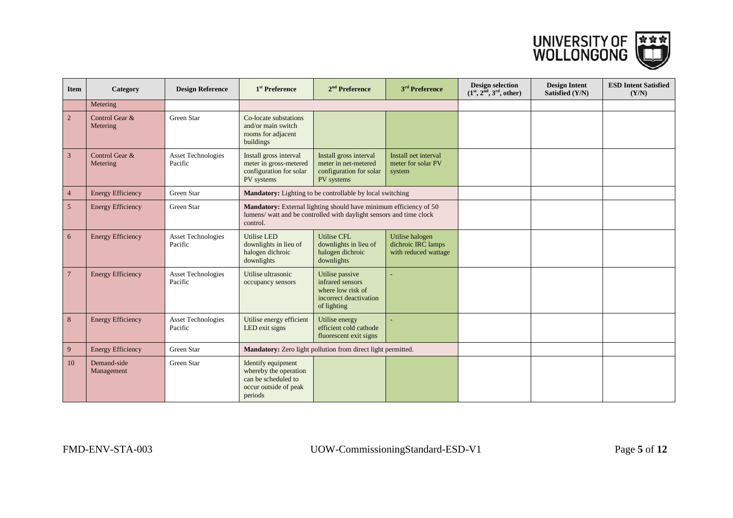

| <b>Item</b>    | Category                   | <b>Design Reference</b>              | 1 <sup>st</sup> Preference                                                                             | $2nd$ Preference                                                                                                                         | $3rd$ Preference                                              | <b>Design selection</b><br>$(1st, 2nd, 3rd, other)$ | <b>Design Intent</b><br>Satisfied (Y/N) | <b>ESD Intent Satisfied</b><br>(Y/N) |
|----------------|----------------------------|--------------------------------------|--------------------------------------------------------------------------------------------------------|------------------------------------------------------------------------------------------------------------------------------------------|---------------------------------------------------------------|-----------------------------------------------------|-----------------------------------------|--------------------------------------|
|                | Metering                   |                                      |                                                                                                        |                                                                                                                                          |                                                               |                                                     |                                         |                                      |
| $\overline{2}$ | Control Gear &<br>Metering | Green Star                           | Co-locate substations<br>and/or main switch<br>rooms for adjacent<br>buildings                         |                                                                                                                                          |                                                               |                                                     |                                         |                                      |
| $\overline{3}$ | Control Gear &<br>Metering | <b>Asset Technologies</b><br>Pacific | Install gross interval<br>meter in gross-metered<br>configuration for solar<br>PV systems              | Install gross interval<br>meter in net-metered<br>configuration for solar<br>PV systems                                                  | Install net interval<br>meter for solar PV<br>system          |                                                     |                                         |                                      |
| $\overline{4}$ | <b>Energy Efficiency</b>   | Green Star                           |                                                                                                        | Mandatory: Lighting to be controllable by local switching                                                                                |                                                               |                                                     |                                         |                                      |
| 5 <sup>5</sup> | <b>Energy Efficiency</b>   | Green Star                           | control.                                                                                               | Mandatory: External lighting should have minimum efficiency of 50<br>lumens/ watt and be controlled with daylight sensors and time clock |                                                               |                                                     |                                         |                                      |
| 6              | <b>Energy Efficiency</b>   | <b>Asset Technologies</b><br>Pacific | <b>Utilise LED</b><br>downlights in lieu of<br>halogen dichroic<br>downlights                          | <b>Utilise CFL</b><br>downlights in lieu of<br>halogen dichroic<br>downlights                                                            | Utilise halogen<br>dichroic IRC lamps<br>with reduced wattage |                                                     |                                         |                                      |
| $\overline{7}$ | <b>Energy Efficiency</b>   | <b>Asset Technologies</b><br>Pacific | Utilise ultrasonic<br>occupancy sensors                                                                | Utilise passive<br>infrared sensors<br>where low risk of<br>incorrect deactivation<br>of lighting                                        |                                                               |                                                     |                                         |                                      |
| 8              | <b>Energy Efficiency</b>   | <b>Asset Technologies</b><br>Pacific | Utilise energy efficient<br>LED exit signs                                                             | Utilise energy<br>efficient cold cathode<br>fluorescent exit signs                                                                       |                                                               |                                                     |                                         |                                      |
| 9              | <b>Energy Efficiency</b>   | Green Star                           |                                                                                                        | Mandatory: Zero light pollution from direct light permitted.                                                                             |                                                               |                                                     |                                         |                                      |
| 10             | Demand-side<br>Management  | Green Star                           | Identify equipment<br>whereby the operation<br>can be scheduled to<br>occur outside of peak<br>periods |                                                                                                                                          |                                                               |                                                     |                                         |                                      |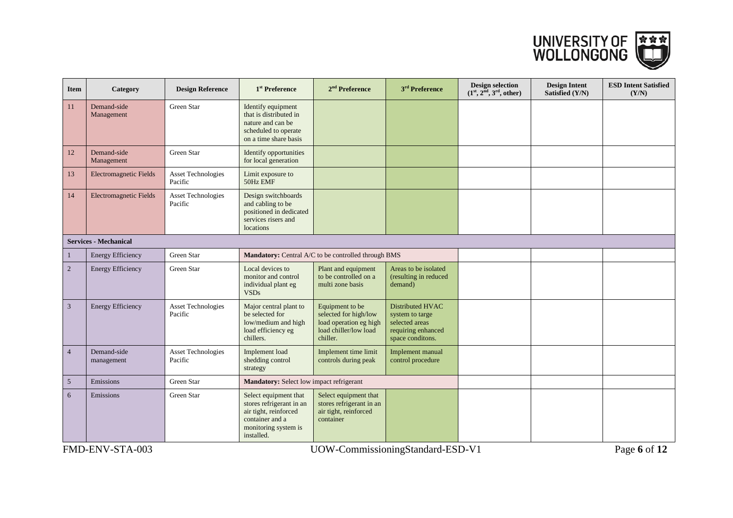

| <b>Item</b>                  | Category                      | <b>Design Reference</b>              | 1 <sup>st</sup> Preference                                                                                                          | $2nd$ Preference                                                                                        | 3 <sup>rd</sup> Preference                                                                      | <b>Design selection</b><br>$(1st, 2nd, 3rd, other)$ | <b>Design Intent</b><br>Satisfied (Y/N) | <b>ESD Intent Satisfied</b><br>(Y/N) |  |
|------------------------------|-------------------------------|--------------------------------------|-------------------------------------------------------------------------------------------------------------------------------------|---------------------------------------------------------------------------------------------------------|-------------------------------------------------------------------------------------------------|-----------------------------------------------------|-----------------------------------------|--------------------------------------|--|
| 11                           | Demand-side<br>Management     | Green Star                           | Identify equipment<br>that is distributed in<br>nature and can be<br>scheduled to operate<br>on a time share basis                  |                                                                                                         |                                                                                                 |                                                     |                                         |                                      |  |
| 12                           | Demand-side<br>Management     | Green Star                           | Identify opportunities<br>for local generation                                                                                      |                                                                                                         |                                                                                                 |                                                     |                                         |                                      |  |
| 13                           | <b>Electromagnetic Fields</b> | <b>Asset Technologies</b><br>Pacific | Limit exposure to<br>50Hz EMF                                                                                                       |                                                                                                         |                                                                                                 |                                                     |                                         |                                      |  |
| 14                           | <b>Electromagnetic Fields</b> | <b>Asset Technologies</b><br>Pacific | Design switchboards<br>and cabling to be<br>positioned in dedicated<br>services risers and<br>locations                             |                                                                                                         |                                                                                                 |                                                     |                                         |                                      |  |
| <b>Services - Mechanical</b> |                               |                                      |                                                                                                                                     |                                                                                                         |                                                                                                 |                                                     |                                         |                                      |  |
| 1                            | <b>Energy Efficiency</b>      | Green Star                           |                                                                                                                                     | Mandatory: Central A/C to be controlled through BMS                                                     |                                                                                                 |                                                     |                                         |                                      |  |
| $\overline{2}$               | <b>Energy Efficiency</b>      | Green Star                           | Local devices to<br>monitor and control<br>individual plant eg<br><b>VSDs</b>                                                       | Plant and equipment<br>to be controlled on a<br>multi zone basis                                        | Areas to be isolated<br>(resulting in reduced<br>demand)                                        |                                                     |                                         |                                      |  |
| 3                            | <b>Energy Efficiency</b>      | <b>Asset Technologies</b><br>Pacific | Major central plant to<br>be selected for<br>low/medium and high<br>load efficiency eg<br>chillers.                                 | Equipment to be<br>selected for high/low<br>load operation eg high<br>load chiller/low load<br>chiller. | Distributed HVAC<br>system to targe<br>selected areas<br>requiring enhanced<br>space conditons. |                                                     |                                         |                                      |  |
| $\overline{4}$               | Demand-side<br>management     | <b>Asset Technologies</b><br>Pacific | Implement load<br>shedding control<br>strategy                                                                                      | Implement time limit<br>controls during peak                                                            | Implement manual<br>control procedure                                                           |                                                     |                                         |                                      |  |
| 5                            | Emissions                     | Green Star                           | Mandatory: Select low impact refrigerant                                                                                            |                                                                                                         |                                                                                                 |                                                     |                                         |                                      |  |
| 6                            | Emissions                     | Green Star                           | Select equipment that<br>stores refrigerant in an<br>air tight, reinforced<br>container and a<br>monitoring system is<br>installed. | Select equipment that<br>stores refrigerant in an<br>air tight, reinforced<br>container                 |                                                                                                 |                                                     |                                         |                                      |  |
|                              | FMD-ENV-STA-003               |                                      |                                                                                                                                     | UOW-CommissioningStandard-ESD-V1                                                                        |                                                                                                 |                                                     |                                         | Page 6 of 12                         |  |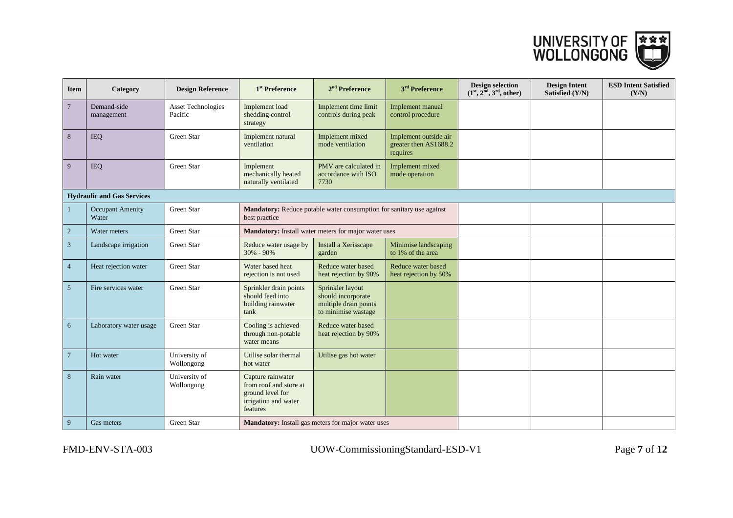

| <b>Item</b>     | Category                          | <b>Design Reference</b>              | 1 <sup>st</sup> Preference                                                                          | $2nd$ Preference                                                                       | 3 <sup>rd</sup> Preference                                 | <b>Design selection</b><br>$(1st, 2nd, 3rd, other)$ | <b>Design Intent</b><br>Satisfied (Y/N) | <b>ESD Intent Satisfied</b><br>(Y/N) |  |  |  |
|-----------------|-----------------------------------|--------------------------------------|-----------------------------------------------------------------------------------------------------|----------------------------------------------------------------------------------------|------------------------------------------------------------|-----------------------------------------------------|-----------------------------------------|--------------------------------------|--|--|--|
| $\overline{7}$  | Demand-side<br>management         | <b>Asset Technologies</b><br>Pacific | Implement load<br>shedding control<br>strategy                                                      | Implement time limit<br>controls during peak                                           | Implement manual<br>control procedure                      |                                                     |                                         |                                      |  |  |  |
| 8               | <b>IEQ</b>                        | Green Star                           | Implement natural<br>ventilation                                                                    | Implement mixed<br>mode ventilation                                                    | Implement outside air<br>greater then AS1688.2<br>requires |                                                     |                                         |                                      |  |  |  |
| 9               | <b>IEQ</b>                        | Green Star                           | Implement<br>mechanically heated<br>naturally ventilated                                            | PMV are calculated in<br>accordance with ISO<br>7730                                   | Implement mixed<br>mode operation                          |                                                     |                                         |                                      |  |  |  |
|                 | <b>Hydraulic and Gas Services</b> |                                      |                                                                                                     |                                                                                        |                                                            |                                                     |                                         |                                      |  |  |  |
| $\mathbf{1}$    | <b>Occupant Amenity</b><br>Water  | Green Star                           | best practice                                                                                       | Mandatory: Reduce potable water consumption for sanitary use against                   |                                                            |                                                     |                                         |                                      |  |  |  |
| $\overline{2}$  | Water meters                      | Green Star                           |                                                                                                     | Mandatory: Install water meters for major water uses                                   |                                                            |                                                     |                                         |                                      |  |  |  |
| $\mathfrak{Z}$  | Landscape irrigation              | Green Star                           | Reduce water usage by<br>$30\% - 90\%$                                                              | Install a Xerisscape<br>garden                                                         | Minimise landscaping<br>to 1% of the area                  |                                                     |                                         |                                      |  |  |  |
| $\overline{4}$  | Heat rejection water              | Green Star                           | Water based heat<br>rejection is not used                                                           | Reduce water based<br>heat rejection by 90%                                            | Reduce water based<br>heat rejection by 50%                |                                                     |                                         |                                      |  |  |  |
| $5\overline{)}$ | Fire services water               | Green Star                           | Sprinkler drain points<br>should feed into<br>building rainwater<br>tank                            | Sprinkler layout<br>should incorporate<br>multiple drain points<br>to minimise wastage |                                                            |                                                     |                                         |                                      |  |  |  |
| 6               | Laboratory water usage            | Green Star                           | Cooling is achieved<br>through non-potable<br>water means                                           | Reduce water based<br>heat rejection by 90%                                            |                                                            |                                                     |                                         |                                      |  |  |  |
| $\overline{7}$  | Hot water                         | University of<br>Wollongong          | Utilise solar thermal<br>hot water                                                                  | Utilise gas hot water                                                                  |                                                            |                                                     |                                         |                                      |  |  |  |
| 8               | Rain water                        | University of<br>Wollongong          | Capture rainwater<br>from roof and store at<br>ground level for<br>irrigation and water<br>features |                                                                                        |                                                            |                                                     |                                         |                                      |  |  |  |
| 9               | Gas meters                        | Green Star                           |                                                                                                     | Mandatory: Install gas meters for major water uses                                     |                                                            |                                                     |                                         |                                      |  |  |  |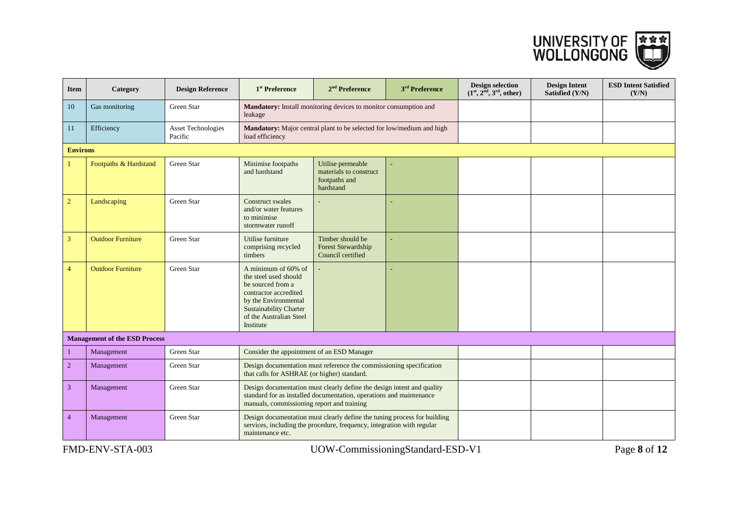

| Item            | Category                             | <b>Design Reference</b>              | 1 <sup>st</sup> Preference                                                                                                                                                                  | $2nd$ Preference                                                                                                                                   | 3 <sup>rd</sup> Preference | <b>Design selection</b><br>$(1st, 2nd, 3rd, other)$ | <b>Design Intent</b><br>Satisfied (Y/N) | <b>ESD Intent Satisfied</b><br>(Y/N) |
|-----------------|--------------------------------------|--------------------------------------|---------------------------------------------------------------------------------------------------------------------------------------------------------------------------------------------|----------------------------------------------------------------------------------------------------------------------------------------------------|----------------------------|-----------------------------------------------------|-----------------------------------------|--------------------------------------|
| 10              | Gas monitoring                       | Green Star                           | leakage                                                                                                                                                                                     | Mandatory: Install monitoring devices to monitor consumption and                                                                                   |                            |                                                     |                                         |                                      |
| 11              | Efficiency                           | <b>Asset Technologies</b><br>Pacific | load efficiency                                                                                                                                                                             | Mandatory: Major central plant to be selected for low/medium and high                                                                              |                            |                                                     |                                         |                                      |
| <b>Environs</b> |                                      |                                      |                                                                                                                                                                                             |                                                                                                                                                    |                            |                                                     |                                         |                                      |
|                 | Footpaths & Hardstand                | Green Star                           | Minimise footpaths<br>and hardstand                                                                                                                                                         | Utilise permeable<br>materials to construct<br>footpaths and<br>hardstand                                                                          |                            |                                                     |                                         |                                      |
| $\overline{c}$  | Landscaping                          | Green Star                           | Construct swales<br>and/or water features<br>to minimise<br>stormwater runoff                                                                                                               |                                                                                                                                                    |                            |                                                     |                                         |                                      |
| 3               | <b>Outdoor Furniture</b>             | Green Star                           | Utilise furniture<br>comprising recycled<br>timbers                                                                                                                                         | Timber should be<br><b>Forest Stewardship</b><br>Council certified                                                                                 |                            |                                                     |                                         |                                      |
| $\overline{4}$  | <b>Outdoor Furniture</b>             | Green Star                           | A minimum of 60% of<br>the steel used should<br>be sourced from a<br>contractor accredited<br>by the Environmental<br><b>Sustainability Charter</b><br>of the Australian Steel<br>Institute |                                                                                                                                                    |                            |                                                     |                                         |                                      |
|                 | <b>Management of the ESD Process</b> |                                      |                                                                                                                                                                                             |                                                                                                                                                    |                            |                                                     |                                         |                                      |
| $\mathbf{1}$    | Management                           | Green Star                           | Consider the appointment of an ESD Manager                                                                                                                                                  |                                                                                                                                                    |                            |                                                     |                                         |                                      |
| $\overline{c}$  | Management                           | Green Star                           | that calls for ASHRAE (or higher) standard.                                                                                                                                                 | Design documentation must reference the commissioning specification                                                                                |                            |                                                     |                                         |                                      |
| 3               | Management                           | Green Star                           | manuals, commissioning report and training                                                                                                                                                  | Design documentation must clearly define the design intent and quality<br>standard for as installed documentation, operations and maintenance      |                            |                                                     |                                         |                                      |
| $\overline{4}$  | Management                           | Green Star                           | maintenance etc.                                                                                                                                                                            | Design documentation must clearly define the tuning process for building<br>services, including the procedure, frequency, integration with regular |                            |                                                     |                                         |                                      |

FMD-ENV-STA-003 UOW-CommissioningStandard-ESD-V1 Page **8** of **12**